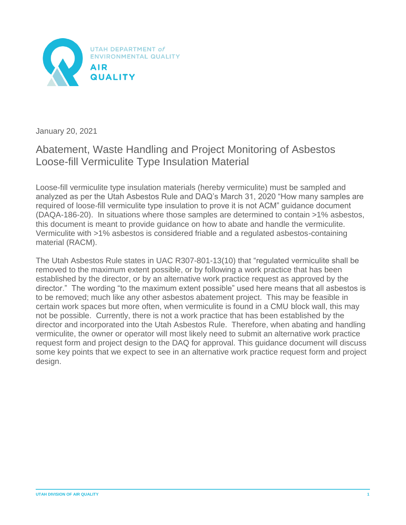

January 20, 2021

# Abatement, Waste Handling and Project Monitoring of Asbestos Loose-fill Vermiculite Type Insulation Material

Loose-fill vermiculite type insulation materials (hereby vermiculite) must be sampled and analyzed as per the Utah Asbestos Rule and DAQ's March 31, 2020 "How many samples are required of loose-fill vermiculite type insulation to prove it is not ACM" guidance document (DAQA-186-20). In situations where those samples are determined to contain >1% asbestos, this document is meant to provide guidance on how to abate and handle the vermiculite. Vermiculite with >1% asbestos is considered friable and a regulated asbestos-containing material (RACM).

The Utah Asbestos Rule states in UAC R307-801-13(10) that "regulated vermiculite shall be removed to the maximum extent possible, or by following a work practice that has been established by the director, or by an alternative work practice request as approved by the director." The wording "to the maximum extent possible" used here means that all asbestos is to be removed; much like any other asbestos abatement project. This may be feasible in certain work spaces but more often, when vermiculite is found in a CMU block wall, this may not be possible. Currently, there is not a work practice that has been established by the director and incorporated into the Utah Asbestos Rule. Therefore, when abating and handling vermiculite, the owner or operator will most likely need to submit an alternative work practice request form and project design to the DAQ for approval. This guidance document will discuss some key points that we expect to see in an alternative work practice request form and project design.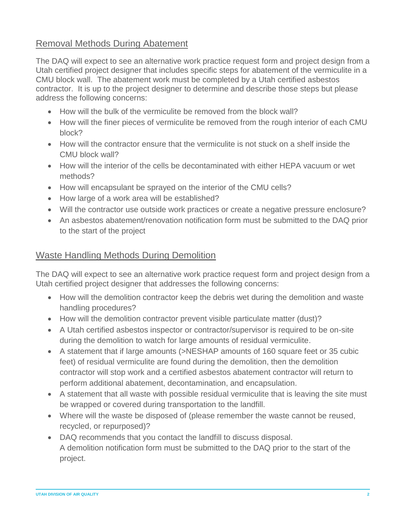## Removal Methods During Abatement

The DAQ will expect to see an alternative work practice request form and project design from a Utah certified project designer that includes specific steps for abatement of the vermiculite in a CMU block wall. The abatement work must be completed by a Utah certified asbestos contractor. It is up to the project designer to determine and describe those steps but please address the following concerns:

- How will the bulk of the vermiculite be removed from the block wall?
- How will the finer pieces of vermiculite be removed from the rough interior of each CMU block?
- How will the contractor ensure that the vermiculite is not stuck on a shelf inside the CMU block wall?
- How will the interior of the cells be decontaminated with either HEPA vacuum or wet methods?
- How will encapsulant be sprayed on the interior of the CMU cells?
- How large of a work area will be established?
- Will the contractor use outside work practices or create a negative pressure enclosure?
- An asbestos abatement/renovation notification form must be submitted to the DAQ prior to the start of the project

#### Waste Handling Methods During Demolition

The DAQ will expect to see an alternative work practice request form and project design from a Utah certified project designer that addresses the following concerns:

- How will the demolition contractor keep the debris wet during the demolition and waste handling procedures?
- How will the demolition contractor prevent visible particulate matter (dust)?
- A Utah certified asbestos inspector or contractor/supervisor is required to be on-site during the demolition to watch for large amounts of residual vermiculite.
- A statement that if large amounts (>NESHAP amounts of 160 square feet or 35 cubic feet) of residual vermiculite are found during the demolition, then the demolition contractor will stop work and a certified asbestos abatement contractor will return to perform additional abatement, decontamination, and encapsulation.
- A statement that all waste with possible residual vermiculite that is leaving the site must be wrapped or covered during transportation to the landfill.
- Where will the waste be disposed of (please remember the waste cannot be reused, recycled, or repurposed)?
- DAQ recommends that you contact the landfill to discuss disposal. A demolition notification form must be submitted to the DAQ prior to the start of the project.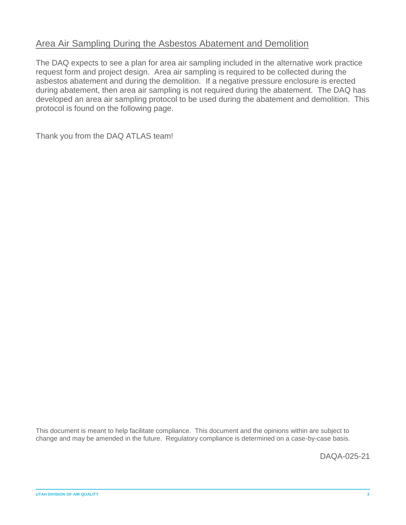## Area Air Sampling During the Asbestos Abatement and Demolition

The DAQ expects to see a plan for area air sampling included in the alternative work practice request form and project design. Area air sampling is required to be collected during the asbestos abatement and during the demolition. If a negative pressure enclosure is erected during abatement, then area air sampling is not required during the abatement. The DAQ has developed an area air sampling protocol to be used during the abatement and demolition. This protocol is found on the following page.

Thank you from the DAQ ATLAS team!

This document is meant to help facilitate compliance. This document and the opinions within are subject to change and may be amended in the future. Regulatory compliance is determined on a case-by-case basis.

DAQA-025-21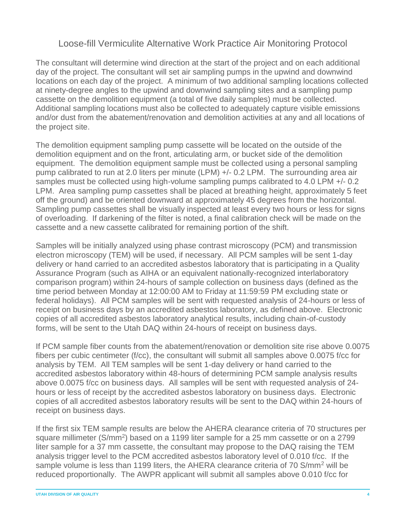## Loose-fill Vermiculite Alternative Work Practice Air Monitoring Protocol

The consultant will determine wind direction at the start of the project and on each additional day of the project. The consultant will set air sampling pumps in the upwind and downwind locations on each day of the project. A minimum of two additional sampling locations collected at ninety-degree angles to the upwind and downwind sampling sites and a sampling pump cassette on the demolition equipment (a total of five daily samples) must be collected. Additional sampling locations must also be collected to adequately capture visible emissions and/or dust from the abatement/renovation and demolition activities at any and all locations of the project site.

The demolition equipment sampling pump cassette will be located on the outside of the demolition equipment and on the front, articulating arm, or bucket side of the demolition equipment. The demolition equipment sample must be collected using a personal sampling pump calibrated to run at 2.0 liters per minute (LPM) +/- 0.2 LPM. The surrounding area air samples must be collected using high-volume sampling pumps calibrated to 4.0 LPM +/- 0.2 LPM. Area sampling pump cassettes shall be placed at breathing height, approximately 5 feet off the ground) and be oriented downward at approximately 45 degrees from the horizontal. Sampling pump cassettes shall be visually inspected at least every two hours or less for signs of overloading. If darkening of the filter is noted, a final calibration check will be made on the cassette and a new cassette calibrated for remaining portion of the shift.

Samples will be initially analyzed using phase contrast microscopy (PCM) and transmission electron microscopy (TEM) will be used, if necessary. All PCM samples will be sent 1-day delivery or hand carried to an accredited asbestos laboratory that is participating in a Quality Assurance Program (such as AIHA or an equivalent nationally-recognized interlaboratory comparison program) within 24-hours of sample collection on business days (defined as the time period between Monday at 12:00:00 AM to Friday at 11:59:59 PM excluding state or federal holidays). All PCM samples will be sent with requested analysis of 24-hours or less of receipt on business days by an accredited asbestos laboratory, as defined above. Electronic copies of all accredited asbestos laboratory analytical results, including chain-of-custody forms, will be sent to the Utah DAQ within 24-hours of receipt on business days.

If PCM sample fiber counts from the abatement/renovation or demolition site rise above 0.0075 fibers per cubic centimeter (f/cc), the consultant will submit all samples above 0.0075 f/cc for analysis by TEM. All TEM samples will be sent 1-day delivery or hand carried to the accredited asbestos laboratory within 48-hours of determining PCM sample analysis results above 0.0075 f/cc on business days. All samples will be sent with requested analysis of 24 hours or less of receipt by the accredited asbestos laboratory on business days. Electronic copies of all accredited asbestos laboratory results will be sent to the DAQ within 24-hours of receipt on business days.

If the first six TEM sample results are below the AHERA clearance criteria of 70 structures per square millimeter (S/mm<sup>2</sup>) based on a 1199 liter sample for a 25 mm cassette or on a 2799 liter sample for a 37 mm cassette, the consultant may propose to the DAQ raising the TEM analysis trigger level to the PCM accredited asbestos laboratory level of 0.010 f/cc. If the sample volume is less than 1199 liters, the AHERA clearance criteria of 70 S/mm<sup>2</sup> will be reduced proportionally. The AWPR applicant will submit all samples above 0.010 f/cc for